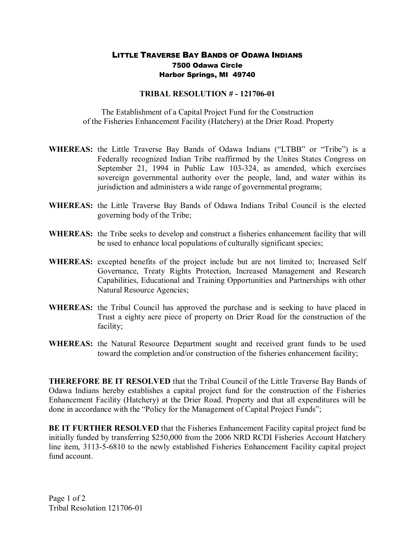## LITTLE TRAVERSE BAY BANDS OF ODAWA INDIANS 7500 Odawa Circle Harbor Springs, MI 49740

## **TRIBAL RESOLUTION # - 121706-01**

The Establishment of a Capital Project Fund for the Construction of the Fisheries Enhancement Facility (Hatchery) at the Drier Road. Property

- **WHEREAS:** the Little Traverse Bay Bands of Odawa Indians ("LTBB" or "Tribe") is a Federally recognized Indian Tribe reaffirmed by the Unites States Congress on September 21, 1994 in Public Law 103-324, as amended, which exercises sovereign governmental authority over the people, land, and water within its jurisdiction and administers a wide range of governmental programs;
- **WHEREAS:** the Little Traverse Bay Bands of Odawa Indians Tribal Council is the elected governing body of the Tribe;
- **WHEREAS:** the Tribe seeks to develop and construct a fisheries enhancement facility that will be used to enhance local populations of culturally significant species;
- **WHEREAS:** excepted benefits of the project include but are not limited to; Increased Self Governance, Treaty Rights Protection, Increased Management and Research Capabilities, Educational and Training Opportunities and Partnerships with other Natural Resource Agencies;
- **WHEREAS:** the Tribal Council has approved the purchase and is seeking to have placed in Trust a eighty acre piece of property on Drier Road for the construction of the facility;
- **WHEREAS:** the Natural Resource Department sought and received grant funds to be used toward the completion and/or construction of the fisheries enhancement facility;

**THEREFORE BE IT RESOLVED** that the Tribal Council of the Little Traverse Bay Bands of Odawa Indians hereby establishes a capital project fund for the construction of the Fisheries Enhancement Facility (Hatchery) at the Drier Road. Property and that all expenditures will be done in accordance with the "Policy for the Management of Capital Project Funds";

**BE IT FURTHER RESOLVED** that the Fisheries Enhancement Facility capital project fund be initially funded by transferring \$250,000 from the 2006 NRD RCDI Fisheries Account Hatchery line item, 3113-5-6810 to the newly established Fisheries Enhancement Facility capital project fund account.